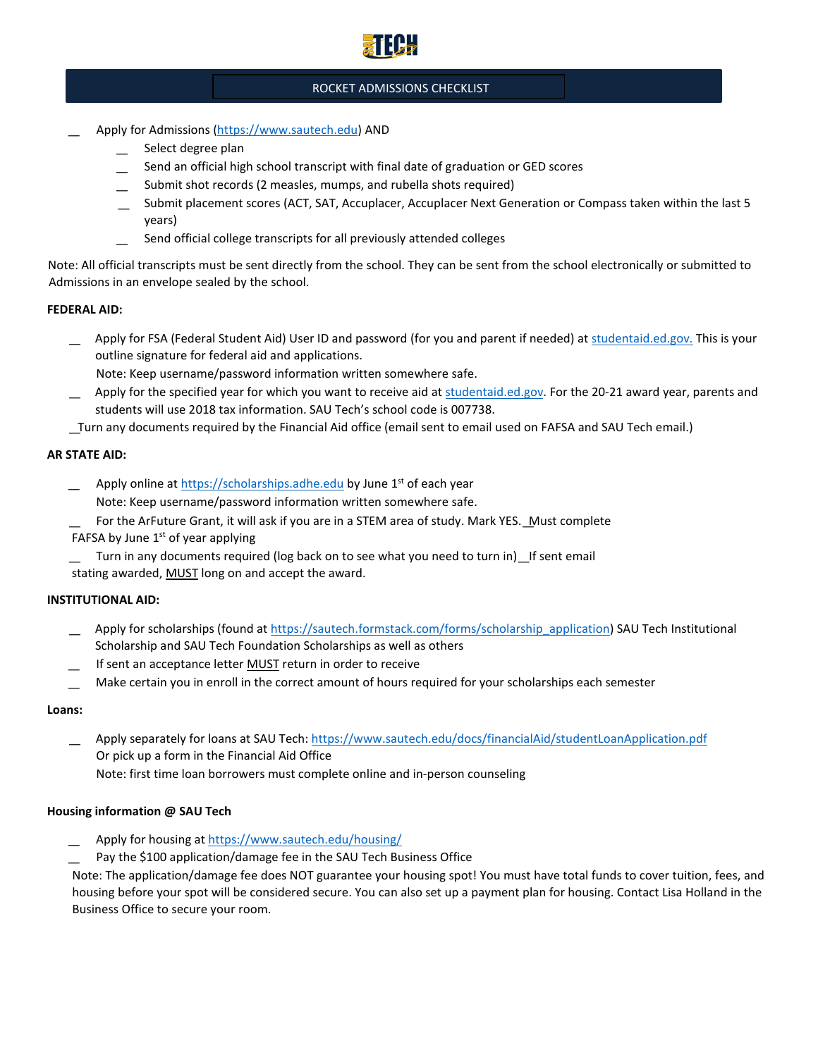

# ROCKET ADMISSIONS CHECKLIST

- ͟ Apply for Admissions [\(https://www.sautech.edu\)](https://www.sautech.edu/) AND
	- Select degree plan
	- Send an official high school transcript with final date of graduation or GED scores
	- Submit shot records (2 measles, mumps, and rubella shots required)
	- Submit placement scores (ACT, SAT, Accuplacer, Accuplacer Next Generation or Compass taken within the last 5 years)
	- Send official college transcripts for all previously attended colleges

Note: All official transcripts must be sent directly from the school. They can be sent from the school electronically or submitted to Admissions in an envelope sealed by the school.

### **FEDERAL AID:**

Apply for FSA (Federal Student Aid) User ID and password (for you and parent if needed) a[t studentaid.ed.gov.](https://mymailsautech-my.sharepoint.com/personal/lindseym8768_mymail_sautech_edu/Documents/studentaid.ed.gov.) This is your outline signature for federal aid and applications.

Note: Keep username/password information written somewhere safe.

Apply for the specified year for which you want to receive aid a[t studentaid.ed.gov.](https://mymailsautech-my.sharepoint.com/personal/lindseym8768_mymail_sautech_edu/Documents/studentaid.ed.gov) For the 20-21 award year, parents and students will use 2018 tax information. SAU Tech's school code is 007738.

͟Turn any documents required by the Financial Aid office (email sent to email used on FAFSA and SAU Tech email.)

# **AR STATE AID:**

Apply online [at https://scholarships.adhe.edu](https://scholarships.adhe.edu/) by June 1<sup>st</sup> of each year

Note: Keep username/password information written somewhere safe.

- For the ArFuture Grant, it will ask if you are in a STEM area of study. Mark YES. Must complete FAFSA by June  $1<sup>st</sup>$  of year applying
- Turn in any documents required (log back on to see what you need to turn in) If sent email stating awarded, **MUST** long on and accept the award.

# **INSTITUTIONAL AID:**

- Apply for scholarships (found a[t https://sautech.formstack.com/forms/scholarship\\_application\)](https://sautech.formstack.com/forms/scholarship_application) SAU Tech Institutional Scholarship and SAU Tech Foundation Scholarships as well as others
- If sent an acceptance letter MUST return in order to receive
- Make certain you in enroll in the correct amount of hours required for your scholarships each semester

#### **Loans:**

Apply separately for loans at SAU Tech:<https://www.sautech.edu/docs/financialAid/studentLoanApplication.pdf> Or pick up a form in the Financial Aid Office

Note: first time loan borrowers must complete online and in-person counseling

# **Housing information @ SAU Tech**

- Apply for housing at<https://www.sautech.edu/housing/>
- Pay the \$100 application/damage fee in the SAU Tech Business Office

Note: The application/damage fee does NOT guarantee your housing spot! You must have total funds to cover tuition, fees, and housing before your spot will be considered secure. You can also set up a payment plan for housing. Contact Lisa Holland in the Business Office to secure your room.